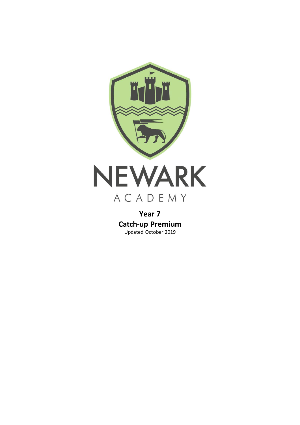

**Year 7 Catch-up Premium** Updated October 2019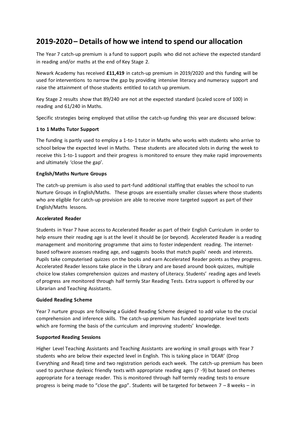## **2019-2020 – Details of how we intend to spend our allocation**

The Year 7 catch-up premium is a fund to support pupils who did not achieve the expected standard in reading and/or maths at the end of Key Stage 2.

Newark Academy has received **£11,419** in catch-up premium in 2019/2020 and this funding will be used for interventions to narrow the gap by providing intensive literacy and numeracy support and raise the attainment of those students entitled to catch up premium.

Key Stage 2 results show that 89/240 are not at the expected standard (scaled score of 100) in reading and 61/240 in Maths.

Specific strategies being employed that utilise the catch-up funding this year are discussed below:

#### **1 to 1 Maths Tutor Support**

The funding is partly used to employ a 1-to-1 tutor in Maths who works with students who arrive to school below the expected level in Maths. These students are allocated slots in during the week to receive this 1-to-1 support and their progress is monitored to ensure they make rapid improvements and ultimately 'close the gap'.

#### **English/Maths Nurture Groups**

The catch-up premium is also used to part-fund additional staffing that enables the school to run Nurture Groups in English/Maths. These groups are essentially smaller classes where those students who are eligible for catch-up provision are able to receive more targeted support as part of their English/Maths lessons.

#### **Accelerated Reader**

Students in Year 7 have access to Accelerated Reader as part of their English Curriculum in order to help ensure their reading age is at the level it should be (or beyond). Accelerated Reader is a reading management and monitoring programme that aims to foster independent reading. The internetbased software assesses reading age, and suggests books that match pupils' needs and interests. Pupils take computerised quizzes on the books and earn Accelerated Reader points as they progress. Accelerated Reader lessons take place in the Library and are based around book quizzes, multiple choice low stakes comprehension quizzes and mastery of Literacy. Students' reading ages and levels of progress are monitored through half termly Star Reading Tests. Extra support is offered by our Librarian and Teaching Assistants.

#### **Guided Reading Scheme**

Year 7 nurture groups are following a Guided Reading Scheme designed to add value to the crucial comprehension and inference skills. The catch-up premium has funded appropriate level texts which are forming the basis of the curriculum and improving students' knowledge.

#### **Supported Reading Sessions**

Higher Level Teaching Assistants and Teaching Assistants are working in small groups with Year 7 students who are below their expected level in English. This is taking place in 'DEAR' (Drop Everything and Read) time and two registration periods each week. The catch-up premium has been used to purchase dyslexic friendly texts with appropriate reading ages (7 -9) but based on themes appropriate for a teenage reader. This is monitored through half termly reading tests to ensure progress is being made to "close the gap". Students will be targeted for between 7 – 8 weeks – in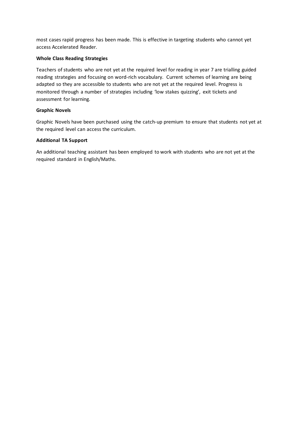most cases rapid progress has been made. This is effective in targeting students who cannot yet access Accelerated Reader.

## **Whole Class Reading Strategies**

Teachers of students who are not yet at the required level for reading in year 7 are trialling guided reading strategies and focusing on word-rich vocabulary. Current schemes of learning are being adapted so they are accessible to students who are not yet at the required level. Progress is monitored through a number of strategies including 'low stakes quizzing', exit tickets and assessment for learning.

#### **Graphic Novels**

Graphic Novels have been purchased using the catch-up premium to ensure that students not yet at the required level can access the curriculum.

#### **Additional TA Support**

An additional teaching assistant has been employed to work with students who are not yet at the required standard in English/Maths.